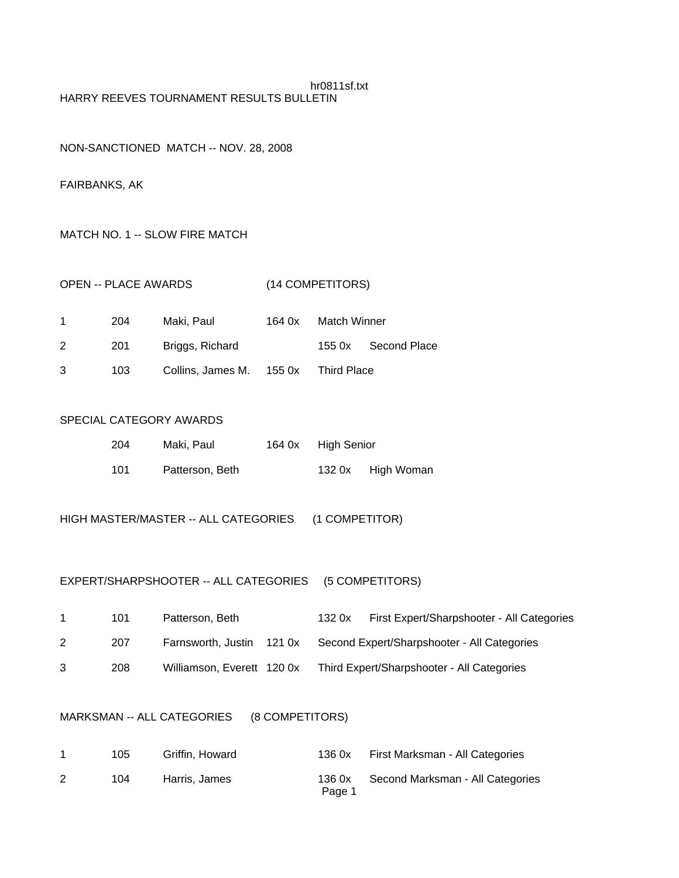### hr0811sf.txt HARRY REEVES TOURNAMENT RESULTS BULLETIN

### NON-SANCTIONED MATCH -- NOV. 28, 2008

### FAIRBANKS, AK

### MATCH NO. 1 -- SLOW FIRE MATCH

| <b>OPEN -- PLACE AWARDS</b> | (14 COMPETITORS) |
|-----------------------------|------------------|
|-----------------------------|------------------|

|    | 204 | Maki, Paul                           | 164 0x | Match Winner |              |
|----|-----|--------------------------------------|--------|--------------|--------------|
| 2  | 201 | Briggs, Richard                      |        | 155 0x       | Second Place |
| -3 | 103 | Collins, James M. 155 0x Third Place |        |              |              |

## SPECIAL CATEGORY AWARDS

| 204 | Maki, Paul      | 164 0x High Senior |                   |
|-----|-----------------|--------------------|-------------------|
| 101 | Patterson, Beth |                    | 132 0x High Woman |

HIGH MASTER/MASTER -- ALL CATEGORIES (1 COMPETITOR)

## EXPERT/SHARPSHOOTER -- ALL CATEGORIES (5 COMPETITORS)

|   | 101 | Patterson, Beth            | 1320x | First Expert/Sharpshooter - All Categories  |
|---|-----|----------------------------|-------|---------------------------------------------|
| 2 | 207 | Farnsworth, Justin 121 0x  |       | Second Expert/Sharpshooter - All Categories |
| 3 | 208 | Williamson, Everett 120 0x |       | Third Expert/Sharpshooter - All Categories  |

## MARKSMAN -- ALL CATEGORIES (8 COMPETITORS)

| 105 | Griffin. Howard | 136 0x | First Marksman - All Categories         |
|-----|-----------------|--------|-----------------------------------------|
| 104 | Harris, James   | Page 1 | 136 0x Second Marksman - All Categories |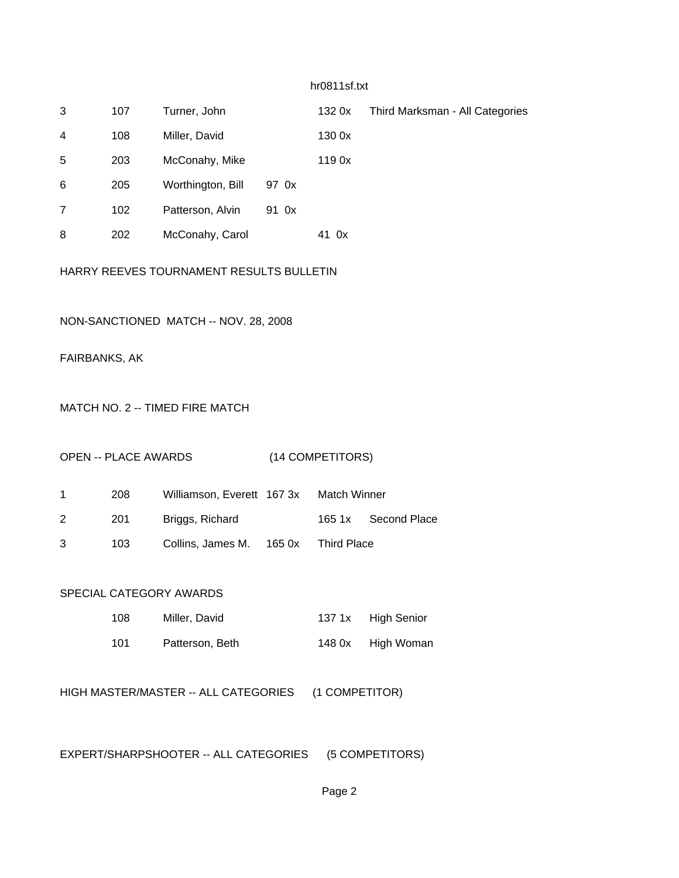### hr0811sf.txt

| 3 | 107 | Turner, John      |       | 1320x  | Third Marksman - All Categories |
|---|-----|-------------------|-------|--------|---------------------------------|
| 4 | 108 | Miller, David     |       | 130 0x |                                 |
| 5 | 203 | McConahy, Mike    |       | 119 0x |                                 |
| 6 | 205 | Worthington, Bill | 97 0x |        |                                 |
|   | 102 | Patterson, Alvin  | 91 0x |        |                                 |
| 8 | 202 | McConahy, Carol   |       | 41 Ox  |                                 |

## HARRY REEVES TOURNAMENT RESULTS BULLETIN

### NON-SANCTIONED MATCH -- NOV. 28, 2008

FAIRBANKS, AK

### MATCH NO. 2 -- TIMED FIRE MATCH

### OPEN -- PLACE AWARDS (14 COMPETITORS)

| $\mathbf 1$ | 208  | Williamson, Everett 167 3x Match Winner |  |                     |
|-------------|------|-----------------------------------------|--|---------------------|
| 2           | -201 | Briggs, Richard                         |  | 165 1x Second Place |
| 3           | 103  | Collins, James M. 165 0x Third Place    |  |                     |

#### SPECIAL CATEGORY AWARDS

| 108  | Miller, David   | 137 1x | High Senior |
|------|-----------------|--------|-------------|
| -101 | Patterson, Beth | 148 0x | High Woman  |

HIGH MASTER/MASTER -- ALL CATEGORIES (1 COMPETITOR)

EXPERT/SHARPSHOOTER -- ALL CATEGORIES (5 COMPETITORS)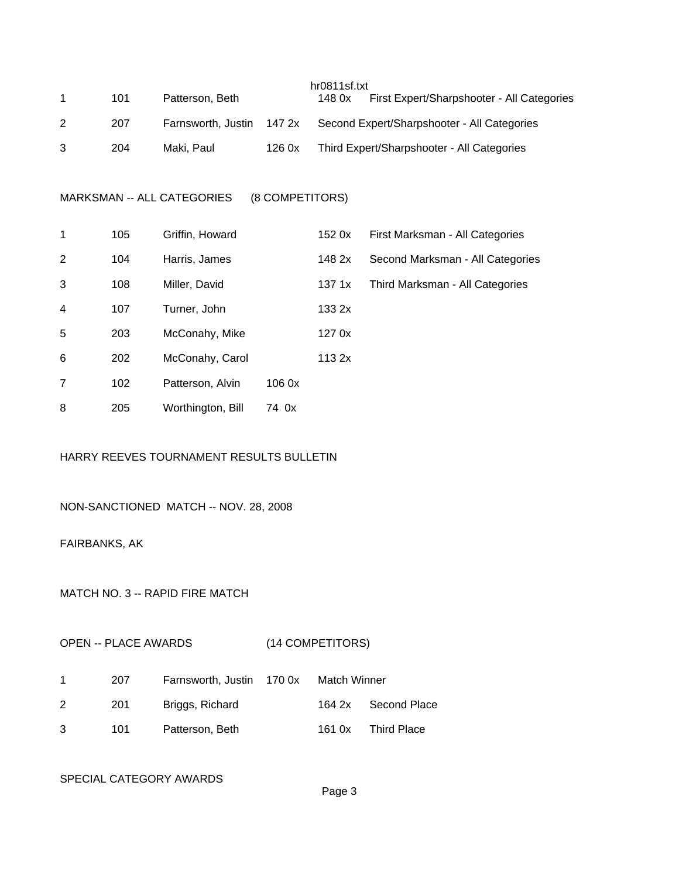|   |     |                    |        | hr0811sf.txt |                                             |
|---|-----|--------------------|--------|--------------|---------------------------------------------|
|   | 101 | Patterson, Beth    |        | 148 0x       | First Expert/Sharpshooter - All Categories  |
| 2 | 207 | Farnsworth, Justin | 147 2x |              | Second Expert/Sharpshooter - All Categories |
|   | 204 | Maki, Paul         | 1260x  |              | Third Expert/Sharpshooter - All Categories  |

MARKSMAN -- ALL CATEGORIES (8 COMPETITORS)

| 1 | 105 | Griffin, Howard   |       | 152 0x | First Marksman - All Categories  |
|---|-----|-------------------|-------|--------|----------------------------------|
| 2 | 104 | Harris, James     |       | 148 2x | Second Marksman - All Categories |
| 3 | 108 | Miller, David     |       | 137 1x | Third Marksman - All Categories  |
| 4 | 107 | Turner, John      |       | 133 2x |                                  |
| 5 | 203 | McConahy, Mike    |       | 127 0x |                                  |
| 6 | 202 | McConahy, Carol   |       | 113 2x |                                  |
| 7 | 102 | Patterson, Alvin  | 1060x |        |                                  |
| 8 | 205 | Worthington, Bill | 74 0x |        |                                  |

# HARRY REEVES TOURNAMENT RESULTS BULLETIN

# NON-SANCTIONED MATCH -- NOV. 28, 2008

FAIRBANKS, AK

MATCH NO. 3 -- RAPID FIRE MATCH

# OPEN -- PLACE AWARDS (14 COMPETITORS)

|   | 207 | Farnsworth, Justin 170 0x Match Winner |        |                    |
|---|-----|----------------------------------------|--------|--------------------|
|   | 201 | Briggs, Richard                        | 164 2x | Second Place       |
| ર | 101 | Patterson, Beth                        | 161 0x | <b>Third Place</b> |

#### SPECIAL CATEGORY AWARDS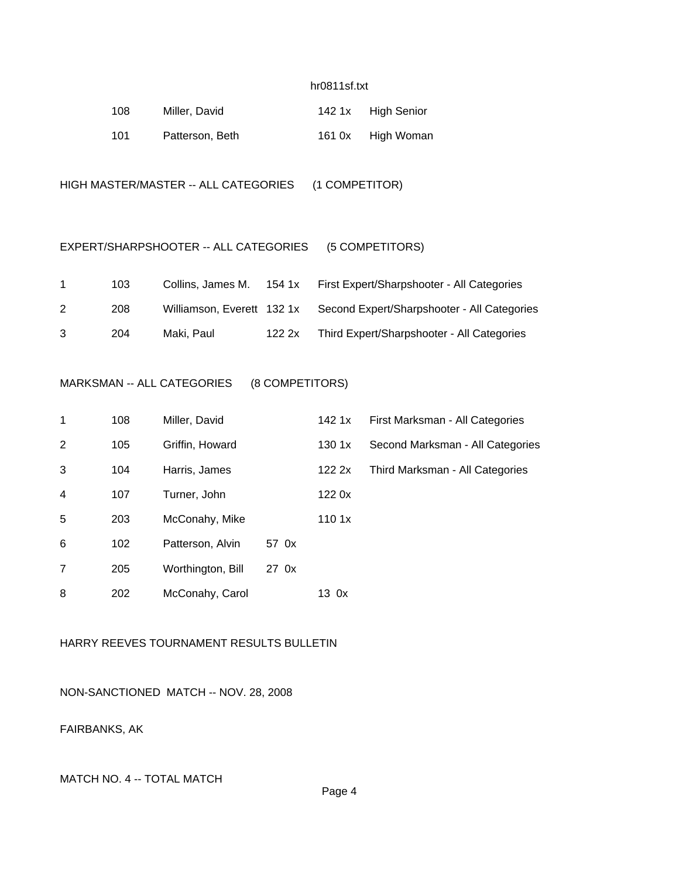#### hr0811sf.txt

| 108 | Miller, David   | 142 1x High Senior |
|-----|-----------------|--------------------|
| 101 | Patterson, Beth | 161 0x High Woman  |

HIGH MASTER/MASTER -- ALL CATEGORIES (1 COMPETITOR)

### EXPERT/SHARPSHOOTER -- ALL CATEGORIES (5 COMPETITORS)

|   | 103. | Collins, James M.         | 154 1x | First Expert/Sharpshooter - All Categories  |
|---|------|---------------------------|--------|---------------------------------------------|
| 2 | 208  | Williamson, Everett 1321x |        | Second Expert/Sharpshooter - All Categories |
| 3 | 204  | Maki. Paul                | 122.2x | Third Expert/Sharpshooter - All Categories  |

## MARKSMAN -- ALL CATEGORIES (8 COMPETITORS)

| $\mathbf 1$    | 108 | Miller, David     |       | 142 1x | First Marksman - All Categories  |
|----------------|-----|-------------------|-------|--------|----------------------------------|
| 2              | 105 | Griffin, Howard   |       | 1301x  | Second Marksman - All Categories |
| 3              | 104 | Harris, James     |       | 1222x  | Third Marksman - All Categories  |
| $\overline{4}$ | 107 | Turner, John      |       | 1220x  |                                  |
| 5              | 203 | McConahy, Mike    |       | 1101x  |                                  |
| 6              | 102 | Patterson, Alvin  | 57 0x |        |                                  |
| 7              | 205 | Worthington, Bill | 27 0x |        |                                  |
| 8              | 202 | McConahy, Carol   |       | 13 Ox  |                                  |

# HARRY REEVES TOURNAMENT RESULTS BULLETIN

NON-SANCTIONED MATCH -- NOV. 28, 2008

FAIRBANKS, AK

## MATCH NO. 4 -- TOTAL MATCH